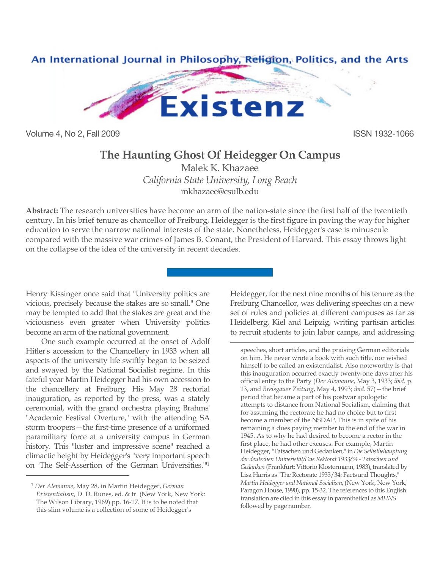

Volume 4, No 2, Fall 2009 ISSN 1932-1066

## **The Haunting Ghost Of Heidegger On Campus**

Malek K. Khazaee *California State University, Long Beach* mkhazaee@csulb.edu

**Abstract:** The research universities have become an arm of the nation-state since the first half of the twentieth century. In his brief tenure as chancellor of Freiburg, Heidegger is the first figure in paving the way for higher education to serve the narrow national interests of the state. Nonetheless, Heidegger's case is minuscule compared with the massive war crimes of James B. Conant, the President of Harvard. This essay throws light on the collapse of the idea of the university in recent decades.

 $\overline{a}$ 

Henry Kissinger once said that "University politics are vicious, precisely because the stakes are so small." One may be tempted to add that the stakes are great and the viciousness even greater when University politics become an arm of the national government.

One such example occurred at the onset of Adolf Hitler's accession to the Chancellery in 1933 when all aspects of the university life swiftly began to be seized and swayed by the National Socialist regime. In this fateful year Martin Heidegger had his own accession to the chancellery at Freiburg. His May 28 rectorial inauguration, as reported by the press, was a stately ceremonial, with the grand orchestra playing Brahms' "Academic Festival Overture," with the attending SA storm troopers—the first-time presence of a uniformed paramilitary force at a university campus in German history*.* This "luster and impressive scene" reached a climactic height by Heidegger's "very important speech on 'The Self-Assertion of the German Universities.'"1

 $\overline{a}$ 

Heidegger, for the next nine months of his tenure as the Freiburg Chancellor, was delivering speeches on a new set of rules and policies at different campuses as far as Heidelberg, Kiel and Leipzig, writing partisan articles to recruit students to join labor camps, and addressing

speeches, short articles, and the praising German editorials on him. He never wrote a book with such title, nor wished himself to be called an existentialist. Also noteworthy is that this inauguration occurred exactly twenty-one days after his official entry to the Party (*Der Alemanne*, May 3, 1933; *ibid.* p. 13, and *Breisgauer Zeitung*, May 4, 1993; *ibid*. 57)—the brief period that became a part of his postwar apologetic attempts to distance from National Socialism, claiming that for assuming the rectorate he had no choice but to first become a member of the NSDAP. This is in spite of his remaining a dues paying member to the end of the war in 1945. As to why he had desired to become a rector in the first place, he had other excuses. For example, Martin Heidegger, "Tatsachen und Gedanken," in *Die Selbstbehauptung der deutschen Univeristät/Das Rektorat 1933/34* - *Tatsachen und*  Gedanken (Frankfurt: Vittorio Klostermann, 1983), translated by Lisa Harris as "The Rectorate 1933/34: Facts and Thoughts," *Martin Heidegger and National Socialism*, (New York, New York, Paragon House, 1990), pp. 15-32. The references to this English translation are cited in this essay in parenthetical as *MHNS*  followed by page number.

<sup>1</sup> *Der Alemanne*, May 28, in Martin Heidegger, *German Existentialism*, D. D. Runes, ed. & tr. (New York, New York: The Wilson Library, 1969) pp. 16-17. It is to be noted that this slim volume is a collection of some of Heidegger's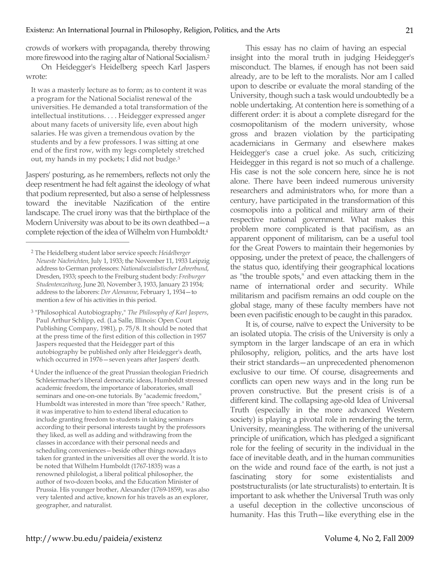crowds of workers with propaganda, thereby throwing more firewood into the raging altar of National Socialism.2

On Heidegger's Heidelberg speech Karl Jaspers wrote:

It was a masterly lecture as to form; as to content it was a program for the National Socialist renewal of the universities. He demanded a total transformation of the intellectual institutions. . . . Heidegger expressed anger about many facets of university life, even about high salaries. He was given a tremendous ovation by the students and by a few professors. I was sitting at one end of the first row, with my legs completely stretched out, my hands in my pockets; I did not budge.3

Jaspers' posturing, as he remembers, reflects not only the deep resentment he had felt against the ideology of what that podium represented, but also a sense of helplessness toward the inevitable Nazification of the entire landscape. The cruel irony was that the birthplace of the Modern University was about to be its own deathbed—a complete rejection of the idea of Wilhelm von Humboldt.4

 $\overline{a}$ 

- 3 "Philosophical Autobiography," *The Philosophy of Karl Jaspers*, Paul Arthur Schlipp, ed. (La Salle, Illinois: Open Court Publishing Company, 1981), p. 75/8. It should be noted that at the press time of the first edition of this collection in 1957 Jaspers requested that the Heidegger part of this autobiography be published only after Heidegger's death, which occurred in 1976—seven years after Jaspers' death.
- <sup>4</sup> Under the influence of the great Prussian theologian Friedrich Schleiermacher's liberal democratic ideas, Humboldt stressed academic freedom, the importance of laboratories, small seminars and one-on-one tutorials. By "academic freedom," Humboldt was interested in more than "free speech." Rather, it was imperative to him to extend liberal education to include granting freedom to students in taking seminars according to their personal interests taught by the professors they liked, as well as adding and withdrawing from the classes in accordance with their personal needs and scheduling conveniences—beside other things nowadays taken for granted in the universities all over the world. It is to be noted that Wilhelm Humboldt (1767-1835) was a renowned philologist, a liberal political philosopher, the author of two-dozen books, and the Education Minister of Prussia. His younger brother, Alexander (1769-1859), was also very talented and active, known for his travels as an explorer, geographer, and naturalist.

This essay has no claim of having an especial insight into the moral truth in judging Heidegger's misconduct. The blames, if enough has not been said already, are to be left to the moralists. Nor am I called upon to describe or evaluate the moral standing of the University, though such a task would undoubtedly be a noble undertaking. At contention here is something of a different order: it is about a complete disregard for the cosmopolitanism of the modern university, whose gross and brazen violation by the participating academicians in Germany and elsewhere makes Heidegger's case a cruel joke. As such, criticizing Heidegger in this regard is not so much of a challenge. His case is not the sole concern here, since he is not alone. There have been indeed numerous university researchers and administrators who, for more than a century, have participated in the transformation of this cosmopolis into a political and military arm of their respective national government. What makes this problem more complicated is that pacifism, as an apparent opponent of militarism, can be a useful tool for the Great Powers to maintain their hegemonies by opposing, under the pretext of peace, the challengers of the status quo, identifying their geographical locations as "the trouble spots," and even attacking them in the name of international order and security. While militarism and pacifism remains an odd couple on the global stage, many of these faculty members have not been even pacifistic enough to be caught in this paradox.

It is, of course, naïve to expect the University to be an isolated utopia. The crisis of the University is only a symptom in the larger landscape of an era in which philosophy, religion, politics, and the arts have lost their strict standards—an unprecedented phenomenon exclusive to our time. Of course, disagreements and conflicts can open new ways and in the long run be proven constructive. But the present crisis is of a different kind. The collapsing age-old Idea of Universal Truth (especially in the more advanced Western society) is playing a pivotal role in rendering the term, University, meaningless. The withering of the universal principle of unification, which has pledged a significant role for the feeling of security in the individual in the face of inevitable death, and in the human communities on the wide and round face of the earth, is not just a fascinating story for some existentialists and poststructuralists (or late structuralists) to entertain. It is important to ask whether the Universal Truth was only a useful deception in the collective unconscious of humanity. Has this Truth—like everything else in the

<sup>2</sup> The Heidelberg student labor service speech: *Heidelberger Neueste Nachrichten,* July 1, 1933; the November 11, 1933 Leipzig address to German professors: *Nationalsozialistischer Lehrerbund*, Dresden, 1933; speech to the Freiburg student body: *Freiburger Studentenzeitung*, June 20, November 3, 1933, January 23 1934; address to the laborers: *Der Alemanne*, February 1, 1934—to mention a few of his activities in this period.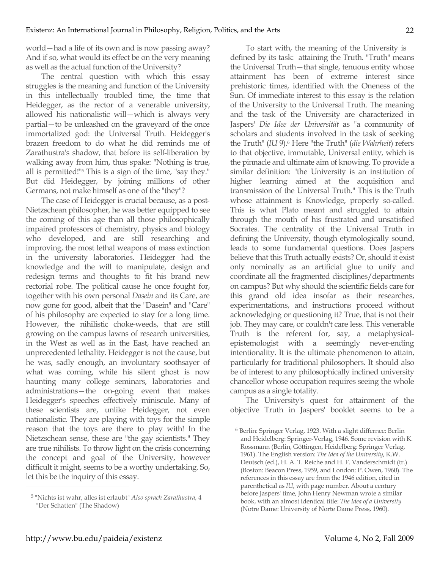world—had a life of its own and is now passing away? And if so, what would its effect be on the very meaning as well as the actual function of the University?

The central question with which this essay struggles is the meaning and function of the University in this intellectually troubled time, the time that Heidegger, as the rector of a venerable university, allowed his nationalistic will—which is always very partial—to be unleashed on the graveyard of the once immortalized god: the Universal Truth. Heidegger's brazen freedom to do what he did reminds me of Zarathustra's shadow, that before its self-liberation by walking away from him, thus spake: "Nothing is true, all is permitted!"5 This is a sign of the time, "say they." But did Heidegger, by joining millions of other Germans, not make himself as one of the "they"?

The case of Heidegger is crucial because, as a post-Nietzschean philosopher, he was better equipped to see the coming of this age than all those philosophically impaired professors of chemistry, physics and biology who developed, and are still researching and improving, the most lethal weapons of mass extinction in the university laboratories. Heidegger had the knowledge and the will to manipulate, design and redesign terms and thoughts to fit his brand new rectorial robe. The political cause he once fought for, together with his own personal *Dasein* and its Care, are now gone for good, albeit that the "Dasein" and "Care" of his philosophy are expected to stay for a long time. However, the nihilistic choke-weeds, that are still growing on the campus lawns of research universities, in the West as well as in the East, have reached an unprecedented lethality. Heidegger is not the cause, but he was, sadly enough, an involuntary soothsayer of what was coming, while his silent ghost is now haunting many college seminars, laboratories and administrations—the on-going event that makes Heidegger's speeches effectively miniscule. Many of these scientists are, unlike Heidegger, not even nationalistic. They are playing with toys for the simple reason that the toys are there to play with! In the Nietzschean sense, these are "the gay scientists." They are true nihilists. To throw light on the crisis concerning the concept and goal of the University, however difficult it might, seems to be a worthy undertaking. So, let this be the inquiry of this essay.

To start with, the meaning of the University is defined by its task: attaining the Truth. "Truth" means the Universal Truth—that single, tenuous entity whose attainment has been of extreme interest since prehistoric times, identified with the Oneness of the Sun. Of immediate interest to this essay is the relation of the University to the Universal Truth. The meaning and the task of the University are characterized in Jaspers' *Die Idee der Universität* as "a community of scholars and students involved in the task of seeking the Truth" (*IU* 9).6 Here "the Truth" (*die Wahrheit*) refers to that objective, immutable, Universal entity, which is the pinnacle and ultimate aim of knowing. To provide a similar definition: "the University is an institution of higher learning aimed at the acquisition and transmission of the Universal Truth." This is the Truth whose attainment is Knowledge, properly so-called. This is what Plato meant and struggled to attain through the mouth of his frustrated and unsatisfied Socrates. The centrality of the Universal Truth in defining the University, though etymologically sound, leads to some fundamental questions. Does Jaspers believe that this Truth actually exists? Or, should it exist only nominally as an artificial glue to unify and coordinate all the fragmented disciplines/departments on campus? But why should the scientific fields care for this grand old idea insofar as their researches, experimentations, and instructions proceed without acknowledging or questioning it? True, that is not their job. They may care, or couldn't care less. This venerable Truth is the referent for, say, a metaphysicalepistemologist with a seemingly never-ending intentionality. It is the ultimate phenomenon to attain, particularly for traditional philosophers. It should also be of interest to any philosophically inclined university chancellor whose occupation requires seeing the whole campus as a single totality.

The University's quest for attainment of the objective Truth in Jaspers' booklet seems to be a

 $\overline{a}$ 

<sup>5 &</sup>quot;Nichts ist wahr, alles ist erlaubt" *Also sprach Zarathustra*, 4 "Der Schatten" (The Shadow)

<sup>6</sup> Berlin: Springer Verlag, 1923. With a slight differnce: Berlin and Heidelberg: Springer-Verlag, 1946. Some revision with K. Rossmann (Berlin, Göttingen, Heidelberg: Springer Verlag, 1961). The English version: *The Idea of the University*, K.W. Deutsch (ed.), H. A. T. Reiche and H. F. Vanderschmidt (tr.) (Boston: Beacon Press, 1959, and London: P. Owen, 1960). The references in this essay are from the 1946 edition, cited in parenthetical as *IU*, with page number. About a century before Jaspers' time, John Henry Newman wrote a similar book, with an almost identical title: *The Idea of a University*  (Notre Dame: University of Norte Dame Press, 1960).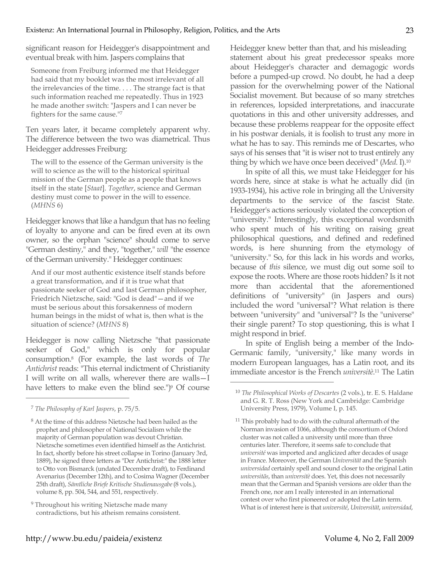significant reason for Heidegger's disappointment and eventual break with him. Jaspers complains that

Someone from Freiburg informed me that Heidegger had said that my booklet was the most irrelevant of all the irrelevancies of the time. . . . The strange fact is that such information reached me repeatedly. Thus in 1923 he made another switch: "Jaspers and I can never be fighters for the same cause."7

Ten years later, it became completely apparent why. The difference between the two was diametrical. Thus Heidegger addresses Freiburg:

The will to the essence of the German university is the will to science as the will to the historical spiritual mission of the German people as a people that knows itself in the state [*Staat*]. *Together*, science and German destiny must come to power in the will to essence. (*MHNS* 6)

Heidegger knows that like a handgun that has no feeling of loyalty to anyone and can be fired even at its own owner, so the orphan "science" should come to serve "German destiny," and they, "together," *will* "the essence of the German university." Heidegger continues:

And if our most authentic existence itself stands before a great transformation, and if it is true what that passionate seeker of God and last German philosopher, Friedrich Nietzsche, said: "God is dead"—and if we must be serious about this forsakenness of modern human beings in the midst of what is, then what is the situation of science? (*MHNS* 8)

Heidegger is now calling Nietzsche "that passionate seeker of God," which is only for popular consumption.8 (For example, the last words of *The Antichrist* reads: "This eternal indictment of Christianity I will write on all walls, wherever there are walls—I have letters to make even the blind see.")<sup>9</sup> Of course

 $\overline{a}$ 

Heidegger knew better than that, and his misleading statement about his great predecessor speaks more about Heidegger's character and demagogic words before a pumped-up crowd. No doubt, he had a deep passion for the overwhelming power of the National Socialist movement. But because of so many stretches in references, lopsided interpretations, and inaccurate quotations in this and other university addresses, and because these problems reappear for the opposite effect in his postwar denials, it is foolish to trust any more in what he has to say. This reminds me of Descartes, who says of his senses that "it is wiser not to trust entirely any thing by which we have once been deceived" (*Med.* I).10

In spite of all this, we must take Heidegger for his words here, since at stake is what he actually did (in 1933-1934), his active role in bringing all the University departments to the service of the fascist State. Heidegger's actions seriously violated the conception of "university." Interestingly, this exceptional wordsmith who spent much of his writing on raising great philosophical questions, and defined and redefined words, is here shunning from the etymology of "university." So, for this lack in his words and works, because of *this* silence, we must dig out some soil to expose the roots. Where are those roots hidden? Is it not more than accidental that the aforementioned definitions of "university" (in Jaspers and ours) included the word "universal"? What relation is there between "university" and "universal"? Is the "universe" their single parent? To stop questioning, this is what I might respond in brief.

In spite of English being a member of the Indo-Germanic family, "university," like many words in modern European languages, has a Latin root, and its immediate ancestor is the French *universitè*. 11 The Latin

<sup>7</sup> *The Philosophy of Karl Jaspers*, p. 75/5.

<sup>8</sup> At the time of this address Nietzsche had been hailed as the prophet and philosopher of National Socialism while the majority of German population was devout Christian. Nietzsche sometimes even identified himself as the Antichrist. In fact, shortly before his street collapse in Torino (January 3rd, 1889), he signed three letters as "Der Antichrist:" the 1888 letter to Otto von Bismarck (undated December draft), to Ferdinand Avenarius (December 12th), and to Cosima Wagner (December 25th draft), *Sämtliche Briefe Kritische Studienausgabe* (8 vols.), volume 8, pp. 504, 544, and 551, respectively.

<sup>&</sup>lt;sup>9</sup> Throughout his writing Nietzsche made many contradictions, but his atheism remains consistent.

<sup>10</sup> *The Philosophical Works of Descartes* (2 vols.), tr. E. S. Haldane and G. R. T. Ross (New York and Cambridge: Cambridge University Press, 1979), Volume I, p. 145.

<sup>&</sup>lt;sup>11</sup> This probably had to do with the cultural aftermath of the Norman invasion of 1066, although the consortium of Oxford cluster was not called a university until more than three centuries later. Therefore, it seems safe to conclude that *université* was imported and anglicized after decades of usage in France. Moreover, the German *Universität* and the Spanish *universidad* certainly spell and sound closer to the original Latin *universitās*, than *universitè* does. Yet, this does not necessarily mean that the German and Spanish versions are older than the French one, nor am I really interested in an international contest over who first pioneered or adopted the Latin term. What is of interest here is that *université*, *Universität*, *universidad*,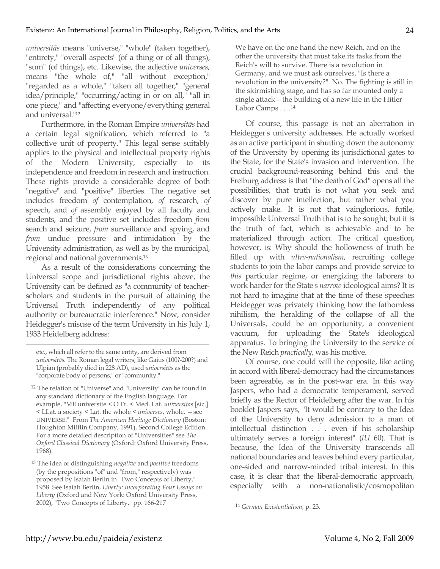*universitās* means "universe," "whole" (taken together), "entirety," "overall aspects" (of a thing or of all things), "sum" (of things), etc. Likewise, the adjective *universes*, means "the whole of," "all without exception," "regarded as a whole," "taken all together," "general idea/principle," "occurring/acting in or on all," "all in one piece," and "affecting everyone/everything general and universal."12

Furthermore, in the Roman Empire *universitās* had a certain legal signification, which referred to "a collective unit of property." This legal sense suitably applies to the physical and intellectual property rights of the Modern University, especially to its independence and freedom in research and instruction. These rights provide a considerable degree of both "negative" and "positive" liberties. The negative set includes freedom *of* contemplation, *of* research, *of* speech, and *of* assembly enjoyed by all faculty and students, and the positive set includes freedom *from* search and seizure, *from* surveillance and spying, and *from* undue pressure and intimidation by the University administration, as well as by the municipal, regional and national governments.13

As a result of the considerations concerning the Universal scope and jurisdictional rights above, the University can be defined as "a community of teacherscholars and students in the pursuit of attaining the Universal Truth independently of any political authority or bureaucratic interference." Now, consider Heidegger's misuse of the term University in his July 1, 1933 Heidelberg address:

 $\overline{a}$ 

13 The idea of distinguishing *negative* and *positive* freedoms (by the prepositions "of" and "from," respectively) was proposed by Isaiah Berlin in "Two Concepts of Liberty," 1958. See Isaiah Berlin, *Liberty: Incorporating Four Essays on Liberty* (Oxford and New York: Oxford University Press, 2002), "Two Concepts of Liberty," pp. 166-217

We have on the one hand the new Reich, and on the other the university that must take its tasks from the Reich's will to survive. There is a revolution in Germany, and we must ask ourselves, "Is there a revolution in the university?" No. The fighting is still in the skirmishing stage, and has so far mounted only a single attack - the building of a new life in the Hitler Labor Camps . . ..<sup>14</sup>

Of course, this passage is not an aberration in Heidegger's university addresses. He actually worked as an active participant in shutting down the autonomy of the University by opening its jurisdictional gates to the State, for the State's invasion and intervention. The crucial background-reasoning behind this and the Freiburg address is that "the death of God" opens all the possibilities, that truth is not what you seek and discover by pure intellection, but rather what you actively make. It is not that vainglorious, futile, impossible Universal Truth that is to be sought; but it is the truth of fact, which is achievable and to be materialized through action. The critical question, however, is: Why should the hollowness of truth be filled up with *ultra*-*nationalism*, recruiting college students to join the labor camps and provide service to *this* particular regime, or energizing the laborers to work harder for the State's *narrow* ideological aims? It is not hard to imagine that at the time of these speeches Heidegger was privately thinking how the fathomless nihilism, the heralding of the collapse of all the Universals, could be an opportunity, a convenient vacuum, for uploading the State's ideological apparatus. To bringing the University to the service of the New Reich *practically*, was his motive.

Of course, one could will the opposite, like acting in accord with liberal-democracy had the circumstances been agreeable, as in the post-war era. In this way Jaspers, who had a democratic temperament, served briefly as the Rector of Heidelberg after the war. In his booklet Jaspers says, "It would be contrary to the Idea of the University to deny admission to a man of intellectual distinction . . . even if his scholarship ultimately serves a foreign interest" (*IU* 60). That is because, the Idea of the University transcends all national boundaries and leaves behind every particular, one-sided and narrow-minded tribal interest. In this case, it is clear that the liberal-democratic approach, especially with a non-nationalistic/cosmopolitan

etc., which all refer to the same entity, are derived from *universitās*. The Roman legal writers, like Gaius (100?-200?) and Ulpian (probably died in 228 AD), used *universitās* as the "corporate body of persons," or "community."

<sup>12</sup> The relation of "Universe" and "University" can be found in any standard dictionary of the English language. For example, "ME universite < O Fr. < Med. Lat. *universitas* [sic.] < LLat. a society < Lat. the whole < *universes*, whole. —see UNIVERSE." From *The American Heritage Dictionary* (Boston: Houghton Mifflin Company, 1991), Second College Edition. For a more detailed description of "Universities" see *The Oxford Classical Dictionary* (Oxford: Oxford University Press, 1968).

<sup>14</sup> *German Existentialism*, p. 23.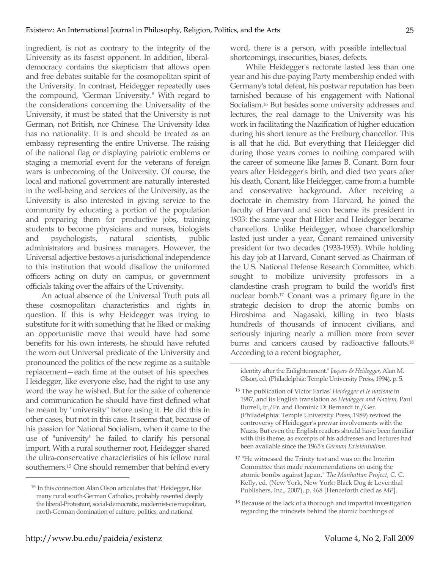ingredient, is not as contrary to the integrity of the University as its fascist opponent. In addition, liberaldemocracy contains the skepticism that allows open and free debates suitable for the cosmopolitan spirit of the University. In contrast, Heidegger repeatedly uses the compound, "German University." With regard to the considerations concerning the Universality of the University, it must be stated that the University is not German, not British, nor Chinese. The University Idea has no nationality. It is and should be treated as an embassy representing the entire Universe. The raising of the national flag or displaying patriotic emblems or staging a memorial event for the veterans of foreign wars is unbecoming of the University. Of course, the local and national government are naturally interested in the well-being and services of the University, as the University is also interested in giving service to the community by educating a portion of the population and preparing them for productive jobs, training students to become physicians and nurses, biologists and psychologists, natural scientists, public administrators and business managers. However, the Universal adjective bestows a jurisdictional independence to this institution that would disallow the uniformed officers acting on duty on campus, or government officials taking over the affairs of the University.

An actual absence of the Universal Truth puts all these cosmopolitan characteristics and rights in question. If this is why Heidegger was trying to substitute for it with something that he liked or making an opportunistic move that would have had some benefits for his own interests, he should have refuted the worn out Universal predicate of the University and pronounced the politics of the new regime as a suitable replacement—each time at the outset of his speeches. Heidegger, like everyone else, had the right to use any word the way he wished. But for the sake of coherence and communication he should have first defined what he meant by "university" before using it. He did this in other cases, but not in this case. It seems that, because of his passion for National Socialism, when it came to the use of "university" he failed to clarify his personal import. With a rural southerner root, Heidegger shared the ultra-conservative characteristics of his fellow rural southerners.15 One should remember that behind every word, there is a person, with possible intellectual shortcomings, insecurities, biases, defects.

While Heidegger's rectorate lasted less than one year and his due-paying Party membership ended with Germany's total defeat, his postwar reputation has been tarnished because of his engagement with National Socialism.16 But besides some university addresses and lectures, the real damage to the University was his work in facilitating the Nazification of higher education during his short tenure as the Freiburg chancellor. This is all that he did. But everything that Heidegger did during those years comes to nothing compared with the career of someone like James B. Conant. Born four years after Heidegger's birth, and died two years after his death, Conant, like Heidegger, came from a humble and conservative background. After receiving a doctorate in chemistry from Harvard, he joined the faculty of Harvard and soon became its president in 1933: the same year that Hitler and Heidegger became chancellors. Unlike Heidegger, whose chancellorship lasted just under a year, Conant remained university president for two decades (1933-1953). While holding his day job at Harvard, Conant served as Chairman of the U.S. National Defense Research Committee, which sought to mobilize university professors in a clandestine crash program to build the world's first nuclear bomb.17 Conant was a primary figure in the strategic decision to drop the atomic bombs on Hiroshima and Nagasaki, killing in two blasts hundreds of thousands of innocent civilians, and seriously injuring nearly a million more from sever burns and cancers caused by radioactive fallouts.<sup>18</sup> According to a recent biographer,

identity after the Enlightenment." *Jaspers & Heidegger*, Alan M. Olson, ed. (Philadelphia: Temple University Press, 1994), p. 5.

 $\overline{a}$ 

<sup>15</sup> In this connection Alan Olson articulates that "Heidegger, like many rural south-German Catholics, probably resented deeply the liberal-Protestant, social-democratic, modernist-cosmopolitan, north-German domination of culture, politics, and national

<sup>16</sup> The publication of Victor Farias' *Heidegger et le nazisme* in 1987, and its English translation as *Heidegger and Nazism*, Paul Burrell, tr./Fr. and Dominic Di Bernardi tr./Ger. (Philadelphia: Temple University Press, 1989) revived the controversy of Heidegger's prewar involvements with the Nazis. But even the English readers should have been familiar with this theme, as excerpts of his addresses and lectures had been available since the 1965's *German Existentialism.*

<sup>&</sup>lt;sup>17</sup> "He witnessed the Trinity test and was on the Interim Committee that made recommendations on using the atomic bombs against Japan." *The Manhattan Project*, C. C. Kelly, ed. (New York, New York: Black Dog & Leventhal Publishers, Inc., 2007), p. 468 [Henceforth cited as *MP*].

<sup>18</sup> Because of the lack of a thorough and impartial investigation regarding the mindsets behind the atomic bombings of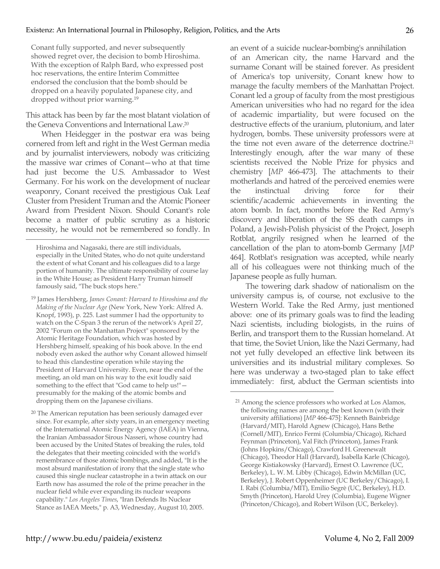Conant fully supported, and never subsequently showed regret over, the decision to bomb Hiroshima. With the exception of Ralph Bard, who expressed post hoc reservations, the entire Interim Committee endorsed the conclusion that the bomb should be dropped on a heavily populated Japanese city, and dropped without prior warning.19

This attack has been by far the most blatant violation of the Geneva Conventions and International Law.20

When Heidegger in the postwar era was being cornered from left and right in the West German media and by journalist interviewers, nobody was criticizing the massive war crimes of Conant—who at that time had just become the U.S. Ambassador to West Germany. For his work on the development of nuclear weaponry, Conant received the prestigious Oak Leaf Cluster from President Truman and the Atomic Pioneer Award from President Nixon. Should Conant's role become a matter of public scrutiny as a historic necessity, he would not be remembered so fondly. In

 $\overline{a}$ 

<sup>19</sup> James Hershberg, *James Conant: Harvard to Hiroshima and the Making of the Nuclear Age* (New York, New York: Alfred A. Knopf, 1993), p. 225. Last summer I had the opportunity to watch on the C-Span 3 the rerun of the network's April 27, 2002 "Forum on the Manhattan Project" sponsored by the Atomic Heritage Foundation, which was hosted by Hershberg himself, speaking of his book above. In the end nobody even asked the author why Conant allowed himself to head this clandestine operation while staying the President of Harvard University. Even, near the end of the meeting, an old man on his way to the exit loudly said something to the effect that "God came to help us!" presumably for the making of the atomic bombs and dropping them on the Japanese civilians.

<sup>20</sup> The American reputation has been seriously damaged ever since. For example, after sixty years, in an emergency meeting of the International Atomic Energy Agency (IAEA) in Vienna, the Iranian Ambassador Sirous Nasseri, whose country had been accused by the United States of breaking the rules, told the delegates that their meeting coincided with the world's remembrance of those atomic bombings, and added, "It is the most absurd manifestation of irony that the single state who caused this single nuclear catastrophe in a twin attack on our Earth now has assumed the role of the prime preacher in the nuclear field while ever expanding its nuclear weapons capability." *Los Angeles Times*, "Iran Defends Its Nuclear Stance as IAEA Meets," p. A3, Wednesday, August 10, 2005.

an event of a suicide nuclear-bombing's annihilation of an American city, the name Harvard and the surname Conant will be stained forever. As president of America's top university, Conant knew how to manage the faculty members of the Manhattan Project. Conant led a group of faculty from the most prestigious American universities who had no regard for the idea of academic impartiality, but were focused on the destructive effects of the uranium, plutonium, and later hydrogen, bombs. These university professors were at the time not even aware of the deterrence doctrine.<sup>21</sup> Interestingly enough, after the war many of these scientists received the Noble Prize for physics and chemistry [*MP* 466-473]. The attachments to their motherlands and hatred of the perceived enemies were the instinctual driving force for their scientific/academic achievements in inventing the atom bomb. In fact, months before the Red Army's discovery and liberation of the SS death camps in Poland, a Jewish-Polish physicist of the Project, Joseph Rotblat, angrily resigned when he learned of the cancellation of the plan to atom-bomb Germany [*MP* 464]. Rotblat's resignation was accepted, while nearly all of his colleagues were not thinking much of the Japanese people as fully human.

The towering dark shadow of nationalism on the university campus is, of course, not exclusive to the Western World. Take the Red Army, just mentioned above: one of its primary goals was to find the leading Nazi scientists, including biologists, in the ruins of Berlin, and transport them to the Russian homeland. At that time, the Soviet Union, like the Nazi Germany, had not yet fully developed an effective link between its universities and its industrial military complexes. So here was underway a two-staged plan to take effect immediately: first, abduct the German scientists into

Hiroshima and Nagasaki, there are still individuals, especially in the United States, who do not quite understand the extent of what Conant and his colleagues did to a large portion of humanity. The ultimate responsibility of course lay in the White House; as President Harry Truman himself famously said, "The buck stops here."

<sup>21</sup> Among the science professors who worked at Los Alamos, the following names are among the best known (with their university affiliations) [*MP* 466-475]: Kenneth Bainbridge (Harvard/MIT), Harold Agnew (Chicago), Hans Bethe (Cornell/MIT), Enrico Fermi (Columbia/Chicago), Richard Feynman (Princeton), Val Fitch (Princeton), James Frank (Johns Hopkins/Chicago), Crawford H. Greenewalt (Chicago), Theodor Hall (Harvard), Isabella Karle (Chicago), George Kistiakowsky (Harvard), Ernest O. Lawrence (UC, Berkeley), L. W. M. Libby (Chicago), Edwin McMillan (UC, Berkeley), J. Robert Oppenheimer (UC Berkeley/Chicago), I. I. Rabi (Columbia/MIT), Emilio Segrè (UC, Berkeley), H.D. Smyth (Princeton), Harold Urey (Columbia), Eugene Wigner (Princeton/Chicago), and Robert Wilson (UC, Berkeley).